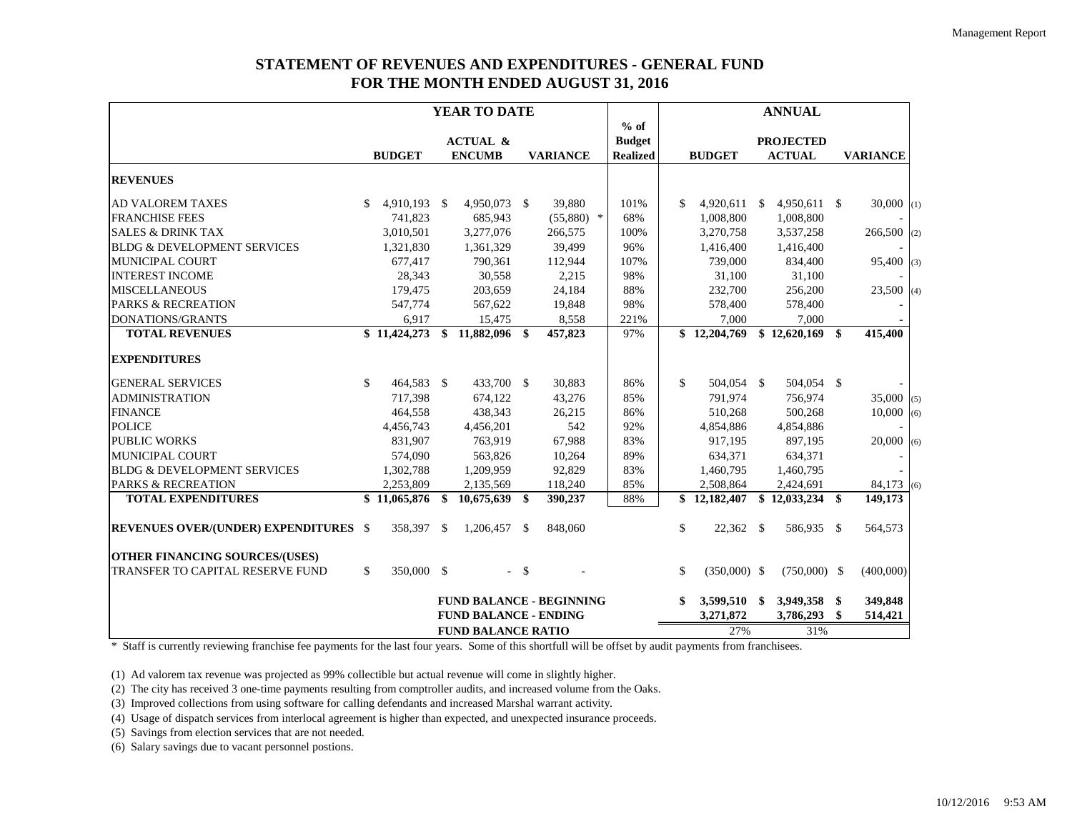## **STATEMENT OF REVENUES AND EXPENDITURES - GENERAL FUND FOR THE MONTH ENDED AUGUST 31, 2016**

|                                              |                    | YEAR TO DATE                    |      |                 |                 |                      | <b>ANNUAL</b>    |                 |  |
|----------------------------------------------|--------------------|---------------------------------|------|-----------------|-----------------|----------------------|------------------|-----------------|--|
|                                              |                    |                                 |      |                 | $%$ of          |                      |                  |                 |  |
|                                              |                    | <b>ACTUAL &amp;</b>             |      |                 | <b>Budget</b>   |                      | <b>PROJECTED</b> |                 |  |
|                                              | <b>BUDGET</b>      | <b>ENCUMB</b>                   |      | <b>VARIANCE</b> | <b>Realized</b> | <b>BUDGET</b>        | <b>ACTUAL</b>    | <b>VARIANCE</b> |  |
| <b>REVENUES</b>                              |                    |                                 |      |                 |                 |                      |                  |                 |  |
| AD VALOREM TAXES                             | 4,910,193 \$<br>S. | 4,950,073 \$                    |      | 39,880          | 101%            | \$<br>$4,920,611$ \$ | 4,950,611 \$     | $30,000$ (1)    |  |
| <b>FRANCHISE FEES</b>                        | 741,823            | 685,943                         |      | $(55,880)$ *    | 68%             | 1,008,800            | 1,008,800        |                 |  |
| <b>SALES &amp; DRINK TAX</b>                 | 3,010,501          | 3,277,076                       |      | 266,575         | 100%            | 3,270,758            | 3,537,258        | $266,500$ (2)   |  |
| <b>BLDG &amp; DEVELOPMENT SERVICES</b>       | 1,321,830          | 1,361,329                       |      | 39,499          | 96%             | 1,416,400            | 1,416,400        |                 |  |
| <b>MUNICIPAL COURT</b>                       | 677,417            | 790,361                         |      | 112,944         | 107%            | 739,000              | 834,400          | $95,400$ (3)    |  |
| <b>INTEREST INCOME</b>                       | 28,343             | 30,558                          |      | 2,215           | 98%             | 31,100               | 31,100           |                 |  |
| <b>MISCELLANEOUS</b>                         | 179,475            | 203,659                         |      | 24,184          | 88%             | 232,700              | 256,200          | $23,500$ (4)    |  |
| <b>PARKS &amp; RECREATION</b>                | 547,774            | 567,622                         |      | 19,848          | 98%             | 578,400              | 578,400          |                 |  |
| DONATIONS/GRANTS                             | 6,917              | 15,475                          |      | 8,558           | 221%            | 7.000                | 7,000            |                 |  |
| <b>TOTAL REVENUES</b>                        | \$11,424,273       | 11,882,096 \$<br>\$             |      | 457,823         | 97%             | \$12,204,769         | \$12,620,169     | \$<br>415,400   |  |
| <b>EXPENDITURES</b>                          |                    |                                 |      |                 |                 |                      |                  |                 |  |
| <b>GENERAL SERVICES</b>                      | 464,583 \$<br>\$   | 433,700 \$                      |      | 30,883          | 86%             | \$<br>504,054 \$     | 504,054 \$       |                 |  |
| <b>ADMINISTRATION</b>                        | 717,398            | 674,122                         |      | 43,276          | 85%             | 791,974              | 756,974          | 35,000(5)       |  |
| <b>FINANCE</b>                               | 464,558            | 438,343                         |      | 26,215          | 86%             | 510,268              | 500,268          | 10,000(6)       |  |
| <b>POLICE</b>                                | 4,456,743          | 4,456,201                       |      | 542             | 92%             | 4,854,886            | 4,854,886        |                 |  |
| <b>PUBLIC WORKS</b>                          | 831,907            | 763,919                         |      | 67,988          | 83%             | 917,195              | 897,195          | $20,000$ (6)    |  |
| MUNICIPAL COURT                              | 574,090            | 563,826                         |      | 10,264          | 89%             | 634,371              | 634,371          |                 |  |
| <b>BLDG &amp; DEVELOPMENT SERVICES</b>       | 1,302,788          | 1,209,959                       |      | 92,829          | 83%             | 1,460,795            | 1,460,795        |                 |  |
| <b>PARKS &amp; RECREATION</b>                | 2,253,809          | 2,135,569                       |      | 118,240         | 85%             | 2,508,864            | 2,424,691        | $84,173$ (6)    |  |
| <b>TOTAL EXPENDITURES</b>                    | \$11,065,876       | \$<br>$10,675,639$ \$           |      | 390,237         | 88%             | \$12,182,407         | \$12,033,234     | \$<br>149,173   |  |
| <b>REVENUES OVER/(UNDER) EXPENDITURES \$</b> | 358,397 \$         | 1,206,457 \$                    |      | 848,060         |                 | \$<br>22,362 \$      | 586,935 \$       | 564,573         |  |
| <b>OTHER FINANCING SOURCES/(USES)</b>        |                    |                                 |      |                 |                 |                      |                  |                 |  |
| TRANSFER TO CAPITAL RESERVE FUND             | 350,000 \$<br>\$   |                                 | $-5$ |                 |                 | \$<br>$(350,000)$ \$ | $(750,000)$ \$   | (400,000)       |  |
|                                              |                    | <b>FUND BALANCE - BEGINNING</b> |      |                 |                 | \$<br>3,599,510 \$   | 3,949,358        | \$<br>349,848   |  |
|                                              |                    | <b>FUND BALANCE - ENDING</b>    |      |                 |                 | 3,271,872            | 3,786,293        | \$<br>514,421   |  |
|                                              |                    | <b>FUND BALANCE RATIO</b>       |      |                 |                 | 27%                  | 31%              |                 |  |

\* Staff is currently reviewing franchise fee payments for the last four years. Some of this shortfull will be offset by audit payments from franchisees.

(1) Ad valorem tax revenue was projected as 99% collectible but actual revenue will come in slightly higher.

(2) The city has received 3 one-time payments resulting from comptroller audits, and increased volume from the Oaks.

(3) Improved collections from using software for calling defendants and increased Marshal warrant activity.

(4) Usage of dispatch services from interlocal agreement is higher than expected, and unexpected insurance proceeds.

(5) Savings from election services that are not needed.

(6) Salary savings due to vacant personnel postions.